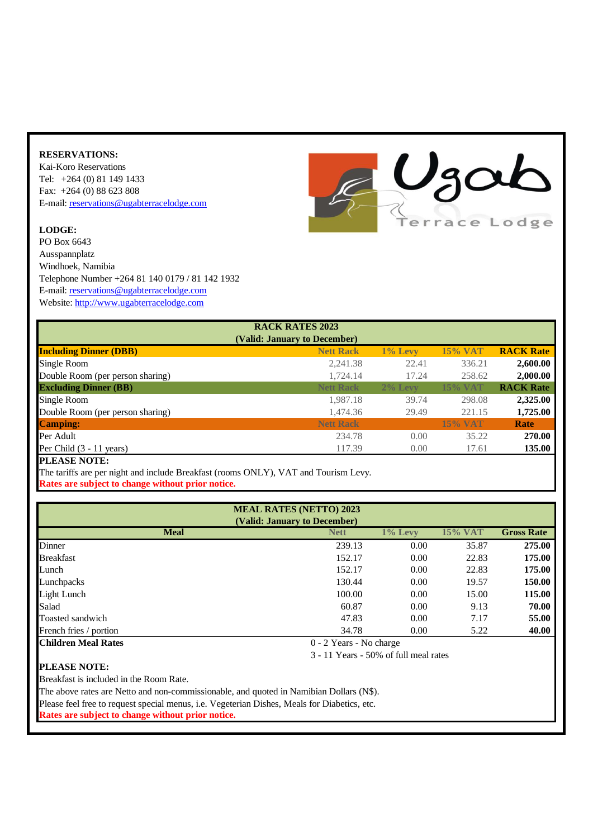## **RESERVATIONS:**

Kai-Koro Reservations Tel: +264 (0) 81 149 1433 Fax: +264 (0) 88 623 808 [E-mail:](mailto:info@ugabterracelodge.com) [reservations@ugabterracelodge.com](mailto:info@ugabterracelodge.com)

## **LODGE:**

PO Box 6643 Ausspannplatz Windhoek, Namibia Telephone Number +264 81 140 0179 / 81 142 1932 [E-mail:](mailto:info@ugabterracelodge.com) [reservations@ugabterracelodge.com](mailto:info@ugabterracelodge.com) [Website:](http://www.ugabterracelodge.com/) [http://www.ugabterracelodge.com](http://www.ugabterracelodge.com/)



|                                  | <b>RACK RATES 2023</b>       |            |                |                  |
|----------------------------------|------------------------------|------------|----------------|------------------|
|                                  | (Valid: January to December) |            |                |                  |
| <b>Including Dinner (DBB)</b>    | <b>Nett Rack</b>             | $1\%$ Levy | <b>15% VAT</b> | <b>RACK Rate</b> |
| Single Room                      | 2,241.38                     | 22.41      | 336.21         | 2,600.00         |
| Double Room (per person sharing) | 1,724.14                     | 17.24      | 258.62         | 2,000.00         |
| <b>Excluding Dinner (BB)</b>     | <b>Nett Rack</b>             | $2\%$ Levy | <b>15% VAT</b> | <b>RACK Rate</b> |
| Single Room                      | 1,987.18                     | 39.74      | 298.08         | 2,325.00         |
| Double Room (per person sharing) | 1,474.36                     | 29.49      | 221.15         | 1,725.00         |
| <b>Camping:</b>                  | <b>Nett Rack</b>             |            | <b>15% VAT</b> | Rate             |
| Per Adult                        | 234.78                       | 0.00       | 35.22          | <b>270.00</b>    |
| Per Child $(3 - 11$ years)       | 117.39                       | 0.00       | 17.61          | 135.00           |
| <b>DI E LOE MARE</b>             |                              |            |                |                  |

**PLEASE NOTE:** 

The tariffs are per night and include Breakfast (rooms ONLY), VAT and Tourism Levy. **Rates are subject to change without prior notice.**

| <b>MEAL RATES (NETTO) 2023</b><br>(Valid: January to December) |             |                         |         |                   |  |  |
|----------------------------------------------------------------|-------------|-------------------------|---------|-------------------|--|--|
| <b>Meal</b>                                                    | <b>Nett</b> | $1\%$ Levy              | 15% VAT | <b>Gross Rate</b> |  |  |
| Dinner                                                         | 239.13      | 0.00                    | 35.87   | 275.00            |  |  |
| <b>Breakfast</b>                                               | 152.17      | 0.00                    | 22.83   | 175.00            |  |  |
| Lunch                                                          | 152.17      | 0.00                    | 22.83   | 175.00            |  |  |
| Lunchpacks                                                     | 130.44      | 0.00                    | 19.57   | 150.00            |  |  |
| Light Lunch                                                    | 100.00      | 0.00                    | 15.00   | 115.00            |  |  |
| Salad                                                          | 60.87       | 0.00                    | 9.13    | 70.00             |  |  |
| Toasted sandwich                                               | 47.83       | 0.00                    | 7.17    | 55.00             |  |  |
| French fries / portion                                         | 34.78       | 0.00                    | 5.22    | 40.00             |  |  |
| <b>Children Meal Rates</b>                                     |             | 0 - 2 Years - No charge |         |                   |  |  |

3 - 11 Years - 50% of full meal rates

## **PLEASE NOTE:**

Breakfast is included in the Room Rate.

The above rates are Netto and non-commissionable, and quoted in Namibian Dollars (N\$).

Please feel free to request special menus, i.e. Vegeterian Dishes, Meals for Diabetics, etc.

**Rates are subject to change without prior notice.**